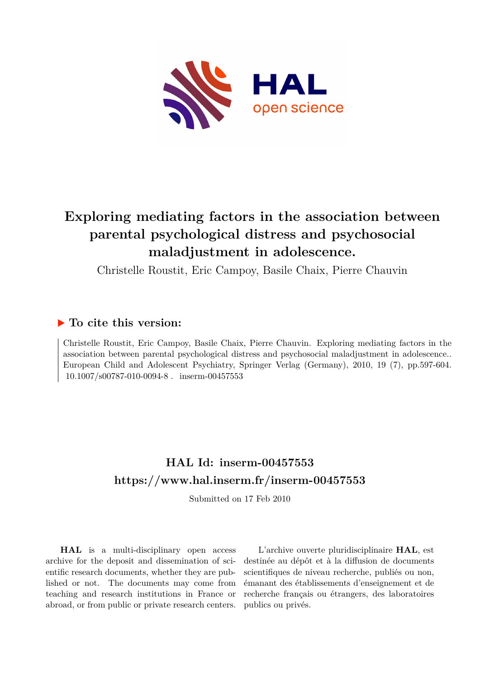

# **Exploring mediating factors in the association between parental psychological distress and psychosocial maladjustment in adolescence.**

Christelle Roustit, Eric Campoy, Basile Chaix, Pierre Chauvin

### **To cite this version:**

Christelle Roustit, Eric Campoy, Basile Chaix, Pierre Chauvin. Exploring mediating factors in the association between parental psychological distress and psychosocial maladjustment in adolescence.. European Child and Adolescent Psychiatry, Springer Verlag (Germany), 2010, 19 (7), pp.597-604.  $10.1007/s00787-010-0094-8$ . inserm-00457553

## **HAL Id: inserm-00457553 <https://www.hal.inserm.fr/inserm-00457553>**

Submitted on 17 Feb 2010

**HAL** is a multi-disciplinary open access archive for the deposit and dissemination of scientific research documents, whether they are published or not. The documents may come from teaching and research institutions in France or abroad, or from public or private research centers.

L'archive ouverte pluridisciplinaire **HAL**, est destinée au dépôt et à la diffusion de documents scientifiques de niveau recherche, publiés ou non, émanant des établissements d'enseignement et de recherche français ou étrangers, des laboratoires publics ou privés.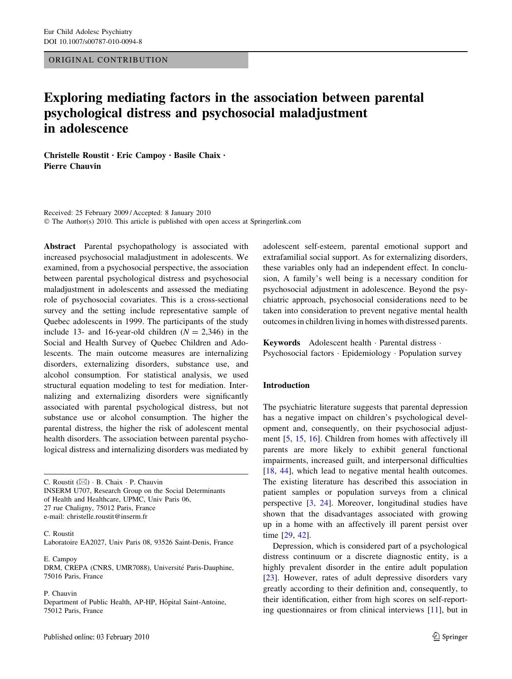#### ORIGINAL CONTRIBUTION

## Exploring mediating factors in the association between parental psychological distress and psychosocial maladjustment in adolescence

Christelle Roustit • Eric Campoy • Basile Chaix • Pierre Chauvin

Received: 25 February 2009 / Accepted: 8 January 2010  $\odot$  The Author(s) 2010. This article is published with open access at Springerlink.com

Abstract Parental psychopathology is associated with increased psychosocial maladjustment in adolescents. We examined, from a psychosocial perspective, the association between parental psychological distress and psychosocial maladjustment in adolescents and assessed the mediating role of psychosocial covariates. This is a cross-sectional survey and the setting include representative sample of Quebec adolescents in 1999. The participants of the study include 13- and 16-year-old children  $(N = 2,346)$  in the Social and Health Survey of Quebec Children and Adolescents. The main outcome measures are internalizing disorders, externalizing disorders, substance use, and alcohol consumption. For statistical analysis, we used structural equation modeling to test for mediation. Internalizing and externalizing disorders were significantly associated with parental psychological distress, but not substance use or alcohol consumption. The higher the parental distress, the higher the risk of adolescent mental health disorders. The association between parental psychological distress and internalizing disorders was mediated by

C. Roustit  $(\boxtimes) \cdot$  B. Chaix  $\cdot$  P. Chauvin INSERM U707, Research Group on the Social Determinants of Health and Healthcare, UPMC, Univ Paris 06, 27 rue Chaligny, 75012 Paris, France e-mail: christelle.roustit@inserm.fr

C. Roustit Laboratoire EA2027, Univ Paris 08, 93526 Saint-Denis, France

E. Campoy DRM, CREPA (CNRS, UMR7088), Université Paris-Dauphine, 75016 Paris, France

P. Chauvin Department of Public Health, AP-HP, Hôpital Saint-Antoine, 75012 Paris, France

adolescent self-esteem, parental emotional support and extrafamilial social support. As for externalizing disorders, these variables only had an independent effect. In conclusion, A family's well being is a necessary condition for psychosocial adjustment in adolescence. Beyond the psychiatric approach, psychosocial considerations need to be taken into consideration to prevent negative mental health outcomes in children living in homes with distressed parents.

Keywords Adolescent health · Parental distress · Psychosocial factors · Epidemiology · Population survey

#### Introduction

The psychiatric literature suggests that parental depression has a negative impact on children's psychological development and, consequently, on their psychosocial adjustment [5, 15, 16]. Children from homes with affectively ill parents are more likely to exhibit general functional impairments, increased guilt, and interpersonal difficulties [18, 44], which lead to negative mental health outcomes. The existing literature has described this association in patient samples or population surveys from a clinical perspective [3, 24]. Moreover, longitudinal studies have shown that the disadvantages associated with growing up in a home with an affectively ill parent persist over time [29, 42].

Depression, which is considered part of a psychological distress continuum or a discrete diagnostic entity, is a highly prevalent disorder in the entire adult population [23]. However, rates of adult depressive disorders vary greatly according to their definition and, consequently, to their identification, either from high scores on self-reporting questionnaires or from clinical interviews [11], but in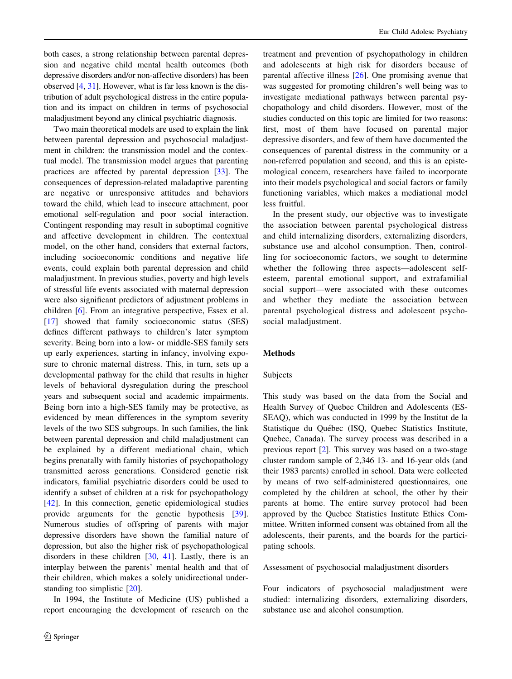both cases, a strong relationship between parental depression and negative child mental health outcomes (both depressive disorders and/or non-affective disorders) has been observed [4, 31]. However, what is far less known is the distribution of adult psychological distress in the entire population and its impact on children in terms of psychosocial maladjustment beyond any clinical psychiatric diagnosis.

Two main theoretical models are used to explain the link between parental depression and psychosocial maladjustment in children: the transmission model and the contextual model. The transmission model argues that parenting practices are affected by parental depression [33]. The consequences of depression-related maladaptive parenting are negative or unresponsive attitudes and behaviors toward the child, which lead to insecure attachment, poor emotional self-regulation and poor social interaction. Contingent responding may result in suboptimal cognitive and affective development in children. The contextual model, on the other hand, considers that external factors, including socioeconomic conditions and negative life events, could explain both parental depression and child maladjustment. In previous studies, poverty and high levels of stressful life events associated with maternal depression were also significant predictors of adjustment problems in children [6]. From an integrative perspective, Essex et al. [17] showed that family socioeconomic status (SES) defines different pathways to children's later symptom severity. Being born into a low- or middle-SES family sets up early experiences, starting in infancy, involving exposure to chronic maternal distress. This, in turn, sets up a developmental pathway for the child that results in higher levels of behavioral dysregulation during the preschool years and subsequent social and academic impairments. Being born into a high-SES family may be protective, as evidenced by mean differences in the symptom severity levels of the two SES subgroups. In such families, the link between parental depression and child maladjustment can be explained by a different mediational chain, which begins prenatally with family histories of psychopathology transmitted across generations. Considered genetic risk indicators, familial psychiatric disorders could be used to identify a subset of children at a risk for psychopathology [42]. In this connection, genetic epidemiological studies provide arguments for the genetic hypothesis [39]. Numerous studies of offspring of parents with major depressive disorders have shown the familial nature of depression, but also the higher risk of psychopathological disorders in these children [30, 41]. Lastly, there is an interplay between the parents' mental health and that of their children, which makes a solely unidirectional understanding too simplistic [20].

In 1994, the Institute of Medicine (US) published a report encouraging the development of research on the

treatment and prevention of psychopathology in children and adolescents at high risk for disorders because of parental affective illness [26]. One promising avenue that was suggested for promoting children's well being was to investigate mediational pathways between parental psychopathology and child disorders. However, most of the studies conducted on this topic are limited for two reasons: first, most of them have focused on parental major depressive disorders, and few of them have documented the consequences of parental distress in the community or a non-referred population and second, and this is an epistemological concern, researchers have failed to incorporate into their models psychological and social factors or family functioning variables, which makes a mediational model less fruitful.

In the present study, our objective was to investigate the association between parental psychological distress and child internalizing disorders, externalizing disorders, substance use and alcohol consumption. Then, controlling for socioeconomic factors, we sought to determine whether the following three aspects—adolescent selfesteem, parental emotional support, and extrafamilial social support—were associated with these outcomes and whether they mediate the association between parental psychological distress and adolescent psychosocial maladjustment.

#### Methods

#### Subjects

This study was based on the data from the Social and Health Survey of Quebec Children and Adolescents (ES-SEAQ), which was conducted in 1999 by the Institut de la Statistique du Québec (ISQ, Quebec Statistics Institute, Quebec, Canada). The survey process was described in a previous report [2]. This survey was based on a two-stage cluster random sample of 2,346 13- and 16-year olds (and their 1983 parents) enrolled in school. Data were collected by means of two self-administered questionnaires, one completed by the children at school, the other by their parents at home. The entire survey protocol had been approved by the Quebec Statistics Institute Ethics Committee. Written informed consent was obtained from all the adolescents, their parents, and the boards for the participating schools.

Assessment of psychosocial maladjustment disorders

Four indicators of psychosocial maladjustment were studied: internalizing disorders, externalizing disorders, substance use and alcohol consumption.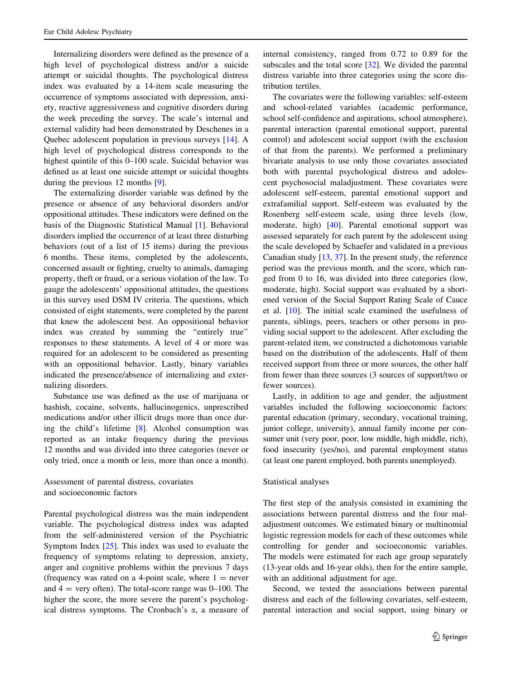Internalizing disorders were defined as the presence of a high level of psychological distress and/or a suicide attempt or suicidal thoughts. The psychological distress index was evaluated by a 14-item scale measuring the occurrence of symptoms associated with depression, anxiety, reactive aggressiveness and cognitive disorders during the week preceding the survey. The scale's internal and external validity had been demonstrated by Deschenes in a Quebec adolescent population in previous surveys [14]. A high level of psychological distress corresponds to the highest quintile of this 0–100 scale. Suicidal behavior was defined as at least one suicide attempt or suicidal thoughts during the previous 12 months [9].

The externalizing disorder variable was defined by the presence or absence of any behavioral disorders and/or oppositional attitudes. These indicators were defined on the basis of the Diagnostic Statistical Manual [1]. Behavioral disorders implied the occurrence of at least three disturbing behaviors (out of a list of 15 items) during the previous 6 months. These items, completed by the adolescents, concerned assault or fighting, cruelty to animals, damaging property, theft or fraud, or a serious violation of the law. To gauge the adolescents' oppositional attitudes, the questions in this survey used DSM IV criteria. The questions, which consisted of eight statements, were completed by the parent that knew the adolescent best. An oppositional behavior index was created by summing the "entirely true" responses to these statements. A level of 4 or more was required for an adolescent to be considered as presenting with an oppositional behavior. Lastly, binary variables indicated the presence/absence of internalizing and externalizing disorders.

Substance use was defined as the use of marijuana or hashish, cocaine, solvents, hallucinogenics, unprescribed medications and/or other illicit drugs more than once during the child's lifetime [8]. Alcohol consumption was reported as an intake frequency during the previous 12 months and was divided into three categories (never or only tried, once a month or less, more than once a month).

Assessment of parental distress, covariates and socioeconomic factors

Parental psychological distress was the main independent variable. The psychological distress index was adapted from the self-administered version of the Psychiatric Symptom Index [25]. This index was used to evaluate the frequency of symptoms relating to depression, anxiety, anger and cognitive problems within the previous 7 days (frequency was rated on a 4-point scale, where  $1 =$  never and  $4 =$  very often). The total-score range was  $0-100$ . The higher the score, the more severe the parent's psychological distress symptoms. The Cronbach's  $\alpha$ , a measure of internal consistency, ranged from 0.72 to 0.89 for the subscales and the total score [32]. We divided the parental distress variable into three categories using the score distribution tertiles.

The covariates were the following variables: self-esteem and school-related variables (academic performance, school self-confidence and aspirations, school atmosphere), parental interaction (parental emotional support, parental control) and adolescent social support (with the exclusion of that from the parents). We performed a preliminary bivariate analysis to use only those covariates associated both with parental psychological distress and adolescent psychosocial maladjustment. These covariates were adolescent self-esteem, parental emotional support and extrafamilial support. Self-esteem was evaluated by the Rosenberg self-esteem scale, using three levels (low, moderate, high) [40]. Parental emotional support was assessed separately for each parent by the adolescent using the scale developed by Schaefer and validated in a previous Canadian study [13, 37]. In the present study, the reference period was the previous month, and the score, which ranged from 0 to 16, was divided into three categories (low, moderate, high). Social support was evaluated by a shortened version of the Social Support Rating Scale of Cauce et al. [10]. The initial scale examined the usefulness of parents, siblings, peers, teachers or other persons in providing social support to the adolescent. After excluding the parent-related item, we constructed a dichotomous variable based on the distribution of the adolescents. Half of them received support from three or more sources, the other half from fewer than three sources (3 sources of support/two or fewer sources).

Lastly, in addition to age and gender, the adjustment variables included the following socioeconomic factors: parental education (primary, secondary, vocational training, junior college, university), annual family income per consumer unit (very poor, poor, low middle, high middle, rich), food insecurity (yes/no), and parental employment status (at least one parent employed, both parents unemployed).

#### Statistical analyses

The first step of the analysis consisted in examining the associations between parental distress and the four maladjustment outcomes. We estimated binary or multinomial logistic regression models for each of these outcomes while controlling for gender and socioeconomic variables. The models were estimated for each age group separately (13-year olds and 16-year olds), then for the entire sample, with an additional adjustment for age.

Second, we tested the associations between parental distress and each of the following covariates, self-esteem, parental interaction and social support, using binary or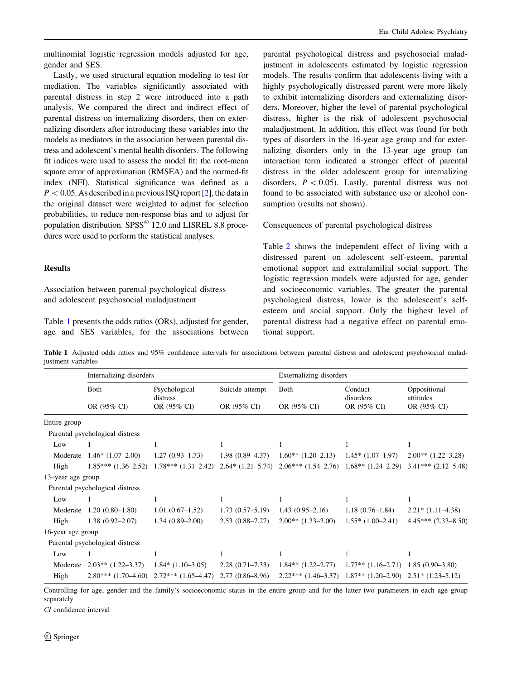multinomial logistic regression models adjusted for age, gender and SES.

Lastly, we used structural equation modeling to test for mediation. The variables significantly associated with parental distress in step 2 were introduced into a path analysis. We compared the direct and indirect effect of parental distress on internalizing disorders, then on externalizing disorders after introducing these variables into the models as mediators in the association between parental distress and adolescent's mental health disorders. The following fit indices were used to assess the model fit: the root-mean square error of approximation (RMSEA) and the normed-fit index (NFI). Statistical significance was defined as a  $P < 0.05$ . As described in a previous ISQ report [2], the data in the original dataset were weighted to adjust for selection probabilities, to reduce non-response bias and to adjust for population distribution. SPSS<sup>®</sup> 12.0 and LISREL 8.8 procedures were used to perform the statistical analyses.

#### Results

Association between parental psychological distress and adolescent psychosocial maladjustment

Table 1 presents the odds ratios (ORs), adjusted for gender, age and SES variables, for the associations between parental psychological distress and psychosocial maladjustment in adolescents estimated by logistic regression models. The results confirm that adolescents living with a highly psychologically distressed parent were more likely to exhibit internalizing disorders and externalizing disorders. Moreover, higher the level of parental psychological distress, higher is the risk of adolescent psychosocial maladjustment. In addition, this effect was found for both types of disorders in the 16-year age group and for externalizing disorders only in the 13-year age group (an interaction term indicated a stronger effect of parental distress in the older adolescent group for internalizing disorders,  $P < 0.05$ ). Lastly, parental distress was not found to be associated with substance use or alcohol consumption (results not shown).

#### Consequences of parental psychological distress

Table 2 shows the independent effect of living with a distressed parent on adolescent self-esteem, parental emotional support and extrafamilial social support. The logistic regression models were adjusted for age, gender and socioeconomic variables. The greater the parental psychological distress, lower is the adolescent's selfesteem and social support. Only the highest level of parental distress had a negative effect on parental emotional support.

Table 1 Adjusted odds ratios and 95% confidence intervals for associations between parental distress and adolescent psychosocial maladjustment variables

|                   | Internalizing disorders         |                                                 |                                | Externalizing disorders                                              |                                     |                                          |
|-------------------|---------------------------------|-------------------------------------------------|--------------------------------|----------------------------------------------------------------------|-------------------------------------|------------------------------------------|
|                   | Both<br>OR (95% CI)             | Psychological<br>distress<br>OR (95% CI)        | Suicide attempt<br>OR (95% CI) | <b>Both</b>                                                          | Conduct<br>disorders<br>OR (95% CI) | Oppositional<br>attitudes<br>OR (95% CI) |
|                   |                                 |                                                 |                                | OR (95% CI)                                                          |                                     |                                          |
| Entire group      |                                 |                                                 |                                |                                                                      |                                     |                                          |
|                   | Parental psychological distress |                                                 |                                |                                                                      |                                     |                                          |
| Low               |                                 |                                                 |                                |                                                                      |                                     |                                          |
| Moderate          | $1.46*(1.07-2.00)$              | $1.27(0.93 - 1.73)$                             | $1.98(0.89 - 4.37)$            | $1.60**$ (1.20–2.13)                                                 | $1.45*(1.07-1.97)$                  | $2.00**$ (1.22–3.28)                     |
| High              | $1.85***(1.36-2.52)$            | $1.78***(1.31-2.42)$                            | $2.64*(1.21-5.74)$             | $2.06***$ $(1.54-2.76)$ $1.68**$ $(1.24-2.29)$                       |                                     | $3.41***$ $(2.12-5.48)$                  |
| 13-year age group |                                 |                                                 |                                |                                                                      |                                     |                                          |
|                   | Parental psychological distress |                                                 |                                |                                                                      |                                     |                                          |
| Low               |                                 | 1                                               | 1                              |                                                                      |                                     | 1                                        |
| Moderate          | $1.20(0.80-1.80)$               | $1.01(0.67-1.52)$                               | $1.73(0.57-5.19)$              | $1.43(0.95-2.16)$                                                    | $1.18(0.76-1.84)$                   | $2.21*$ (1.11–4.38)                      |
| High              | $1.38(0.92 - 2.07)$             | $1.34(0.89 - 2.00)$                             | $2.53(0.88 - 7.27)$            | $2.00**$ (1.33–3.00)                                                 | $1.55*(1.00-2.41)$                  | $4.45***$ $(2.33-8.50)$                  |
| 16-year age group |                                 |                                                 |                                |                                                                      |                                     |                                          |
|                   | Parental psychological distress |                                                 |                                |                                                                      |                                     |                                          |
| Low               |                                 |                                                 |                                |                                                                      |                                     |                                          |
| Moderate          | $2.03**$ (1.22–3.37)            | $1.84*$ (1.10-3.05)                             | $2.28(0.71 - 7.33)$            | $1.84**$ $(1.22-2.77)$                                               | $1.77**$ $(1.16-2.71)$              | $1.85(0.90-3.80)$                        |
| High              |                                 | $2.80***$ $(1.70-4.60)$ $2.72***$ $(1.65-4.47)$ | $2.77(0.86 - 8.96)$            | $2.22***$ $(1.46-3.37)$ $1.87**$ $(1.20-2.90)$ $2.51*$ $(1.23-5.12)$ |                                     |                                          |

Controlling for age, gender and the family's socioeconomic status in the entire group and for the latter two parameters in each age group separately

CI confidence interval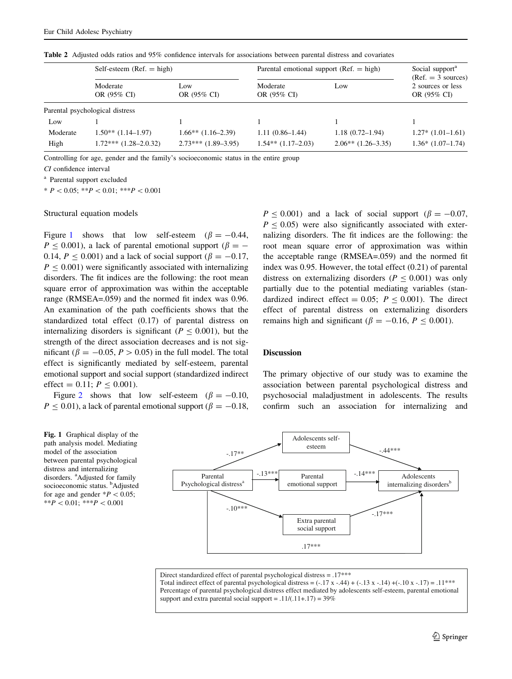|          | Self-esteem ( $Ref. = high$ )   |                        | Parental emotional support ( $Ref. = high$ ) | Social support <sup>a</sup><br>$(Ref. = 3 sources)$ |                                  |
|----------|---------------------------------|------------------------|----------------------------------------------|-----------------------------------------------------|----------------------------------|
|          | Moderate<br>OR (95% CI)         | Low.<br>OR (95% CI)    | Moderate<br>OR (95% CI)                      | Low                                                 | 2 sources or less<br>OR (95% CI) |
|          | Parental psychological distress |                        |                                              |                                                     |                                  |
| Low      |                                 |                        |                                              |                                                     |                                  |
| Moderate | $1.50**$ (1.14–1.97)            | $1.66**$ $(1.16-2.39)$ | $1.11(0.86-1.44)$                            | $1.18(0.72 - 1.94)$                                 | $1.27*(1.01-1.61)$               |
| High     | $1.72***$ $(1.28-2.0.32)$       | $2.73***$ (1.89–3.95)  | $1.54**$ $(1.17-2.03)$                       | $2.06**$ (1.26–3.35)                                | $1.36*(1.07-1.74)$               |

Table 2 Adjusted odds ratios and 95% confidence intervals for associations between parental distress and covariates

Controlling for age, gender and the family's socioeconomic status in the entire group

CI confidence interval

<sup>a</sup> Parental support excluded

 $* P < 0.05; **P < 0.01; **P < 0.001$ 

#### Structural equation models

Figure 1 shows that low self-esteem ( $\beta = -0.44$ ,  $P \le 0.001$ ), a lack of parental emotional support ( $\beta = -$ 0.14,  $P < 0.001$ ) and a lack of social support ( $\beta = -0.17$ ,  $P \leq 0.001$ ) were significantly associated with internalizing disorders. The fit indices are the following: the root mean square error of approximation was within the acceptable range (RMSEA=.059) and the normed fit index was 0.96. An examination of the path coefficients shows that the standardized total effect (0.17) of parental distress on internalizing disorders is significant ( $P \le 0.001$ ), but the strength of the direct association decreases and is not significant ( $\beta = -0.05$ ,  $P > 0.05$ ) in the full model. The total effect is significantly mediated by self-esteem, parental emotional support and social support (standardized indirect effect = 0.11;  $P \le 0.001$ ).

Figure 2 shows that low self-esteem  $(\beta = -0.10,$  $P \le 0.01$ ), a lack of parental emotional support ( $\beta = -0.18$ ,

Fig. 1 Graphical display of the path analysis model. Mediating model of the association between parental psychological distress and internalizing disorders. <sup>a</sup>Adjusted for family socioeconomic status. <sup>b</sup>Adjusted for age and gender  $*P<0.05$ ; \*\* $P \leq 0.01$ ; \*\*\* $P \leq 0.001$ 



Direct standardized effect of parental psychological distress  $= .17$ \*\*\* Total indirect effect of parental psychological distress =  $(-.17 \times -.44) + (-.13 \times -.14) + (-.10 \times -.17) = .11***$ Percentage of parental psychological distress effect mediated by adolescents self-esteem, parental emotional support and extra parental social support =  $.11/(.11+.17) = 39\%$ 

 $P < 0.001$ ) and a lack of social support ( $\beta = -0.07$ ,  $P \le 0.05$ ) were also significantly associated with externalizing disorders. The fit indices are the following: the root mean square error of approximation was within the acceptable range (RMSEA=.059) and the normed fit index was 0.95. However, the total effect (0.21) of parental distress on externalizing disorders ( $P < 0.001$ ) was only partially due to the potential mediating variables (standardized indirect effect = 0.05;  $P \le 0.001$ ). The direct effect of parental distress on externalizing disorders remains high and significant ( $\beta = -0.16$ ,  $P < 0.001$ ).

#### **Discussion**

The primary objective of our study was to examine the association between parental psychological distress and psychosocial maladjustment in adolescents. The results confirm such an association for internalizing and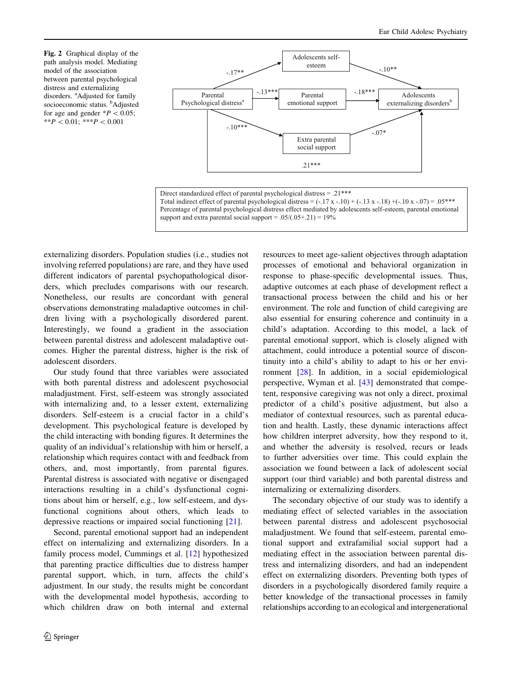Fig. 2 Graphical display of the path analysis model. Mediating model of the association between parental psychological distress and externalizing disorders. <sup>a</sup>Adjusted for family socioeconomic status. <sup>b</sup>Adjusted for age and gender  $*P<0.05$ ;  $**P < 0.01;$   $***P < 0.001$ 



Direct standardized effect of parental psychological distress = .21\*\*\* Total indirect effect of parental psychological distress =  $(-.17 \times -.10) + (-.13 \times -.18) + (-.10 \times -.07) = .05$ \*\*\* Percentage of parental psychological distress effect mediated by adolescents self-esteem, parental emotional support and extra parental social support =  $.05/(.05+.21) = 19\%$ 

externalizing disorders. Population studies (i.e., studies not involving referred populations) are rare, and they have used different indicators of parental psychopathological disorders, which precludes comparisons with our research. Nonetheless, our results are concordant with general observations demonstrating maladaptive outcomes in children living with a psychologically disordered parent. Interestingly, we found a gradient in the association between parental distress and adolescent maladaptive outcomes. Higher the parental distress, higher is the risk of adolescent disorders.

Our study found that three variables were associated with both parental distress and adolescent psychosocial maladjustment. First, self-esteem was strongly associated with internalizing and, to a lesser extent, externalizing disorders. Self-esteem is a crucial factor in a child's development. This psychological feature is developed by the child interacting with bonding figures. It determines the quality of an individual's relationship with him or herself, a relationship which requires contact with and feedback from others, and, most importantly, from parental figures. Parental distress is associated with negative or disengaged interactions resulting in a child's dysfunctional cognitions about him or herself, e.g., low self-esteem, and dysfunctional cognitions about others, which leads to depressive reactions or impaired social functioning [21].

Second, parental emotional support had an independent effect on internalizing and externalizing disorders. In a family process model, Cummings et al. [12] hypothesized that parenting practice difficulties due to distress hamper parental support, which, in turn, affects the child's adjustment. In our study, the results might be concordant with the developmental model hypothesis, according to which children draw on both internal and external resources to meet age-salient objectives through adaptation processes of emotional and behavioral organization in response to phase-specific developmental issues. Thus, adaptive outcomes at each phase of development reflect a transactional process between the child and his or her environment. The role and function of child caregiving are also essential for ensuring coherence and continuity in a child's adaptation. According to this model, a lack of parental emotional support, which is closely aligned with attachment, could introduce a potential source of discontinuity into a child's ability to adapt to his or her environment [28]. In addition, in a social epidemiological perspective, Wyman et al. [43] demonstrated that competent, responsive caregiving was not only a direct, proximal predictor of a child's positive adjustment, but also a mediator of contextual resources, such as parental education and health. Lastly, these dynamic interactions affect how children interpret adversity, how they respond to it, and whether the adversity is resolved, recurs or leads to further adversities over time. This could explain the association we found between a lack of adolescent social support (our third variable) and both parental distress and internalizing or externalizing disorders.

The secondary objective of our study was to identify a mediating effect of selected variables in the association between parental distress and adolescent psychosocial maladjustment. We found that self-esteem, parental emotional support and extrafamilial social support had a mediating effect in the association between parental distress and internalizing disorders, and had an independent effect on externalizing disorders. Preventing both types of disorders in a psychologically disordered family require a better knowledge of the transactional processes in family relationships according to an ecological and intergenerational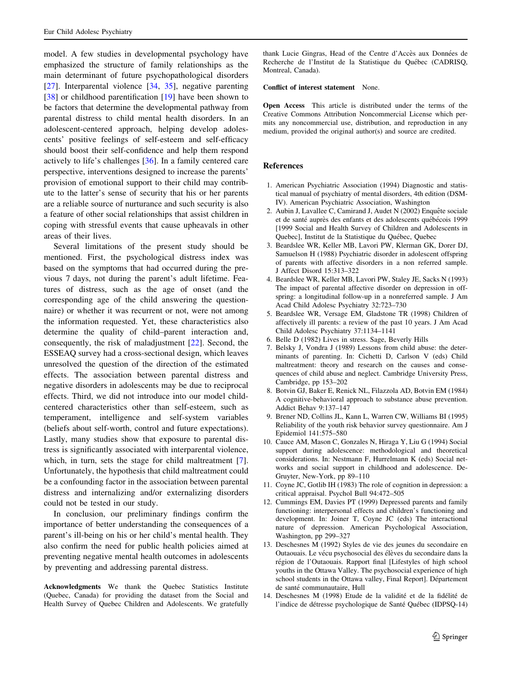model. A few studies in developmental psychology have emphasized the structure of family relationships as the main determinant of future psychopathological disorders [27]. Interparental violence [34, 35], negative parenting [38] or childhood parentification [19] have been shown to be factors that determine the developmental pathway from parental distress to child mental health disorders. In an adolescent-centered approach, helping develop adolescents' positive feelings of self-esteem and self-efficacy should boost their self-confidence and help them respond actively to life's challenges [36]. In a family centered care perspective, interventions designed to increase the parents' provision of emotional support to their child may contribute to the latter's sense of security that his or her parents are a reliable source of nurturance and such security is also a feature of other social relationships that assist children in coping with stressful events that cause upheavals in other areas of their lives.

Several limitations of the present study should be mentioned. First, the psychological distress index was based on the symptoms that had occurred during the previous 7 days, not during the parent's adult lifetime. Features of distress, such as the age of onset (and the corresponding age of the child answering the questionnaire) or whether it was recurrent or not, were not among the information requested. Yet, these characteristics also determine the quality of child–parent interaction and, consequently, the risk of maladjustment [22]. Second, the ESSEAQ survey had a cross-sectional design, which leaves unresolved the question of the direction of the estimated effects. The association between parental distress and negative disorders in adolescents may be due to reciprocal effects. Third, we did not introduce into our model childcentered characteristics other than self-esteem, such as temperament, intelligence and self-system variables (beliefs about self-worth, control and future expectations). Lastly, many studies show that exposure to parental distress is significantly associated with interparental violence, which, in turn, sets the stage for child maltreatment [7]. Unfortunately, the hypothesis that child maltreatment could be a confounding factor in the association between parental distress and internalizing and/or externalizing disorders could not be tested in our study.

In conclusion, our preliminary findings confirm the importance of better understanding the consequences of a parent's ill-being on his or her child's mental health. They also confirm the need for public health policies aimed at preventing negative mental health outcomes in adolescents by preventing and addressing parental distress.

Acknowledgments We thank the Quebec Statistics Institute (Quebec, Canada) for providing the dataset from the Social and Health Survey of Quebec Children and Adolescents. We gratefully

thank Lucie Gingras, Head of the Centre d'Accès aux Données de Recherche de l'Institut de la Statistique du Québec (CADRISQ, Montreal, Canada).

#### Conflict of interest statement None.

Open Access This article is distributed under the terms of the Creative Commons Attribution Noncommercial License which permits any noncommercial use, distribution, and reproduction in any medium, provided the original author(s) and source are credited.

#### References

- 1. American Psychiatric Association (1994) Diagnostic and statistical manual of psychiatry of mental disorders, 4th edition (DSM-IV). American Psychiatric Association, Washington
- 2. Aubin J, Lavallee C, Camirand J, Audet N (2002) Enquête sociale et de santé auprès des enfants et des adolescents québécois 1999 [1999 Social and Health Survey of Children and Adolescents in Quebec], Institut de la Statistique du Québec, Quebec
- 3. Beardslee WR, Keller MB, Lavori PW, Klerman GK, Dorer DJ, Samuelson H (1988) Psychiatric disorder in adolescent offspring of parents with affective disorders in a non referred sample. J Affect Disord 15:313–322
- 4. Beardslee WR, Keller MB, Lavori PW, Staley JE, Sacks N (1993) The impact of parental affective disorder on depression in offspring: a longitudinal follow-up in a nonreferred sample. J Am Acad Child Adolesc Psychiatry 32:723–730
- 5. Beardslee WR, Versage EM, Gladstone TR (1998) Children of affectively ill parents: a review of the past 10 years. J Am Acad Child Adolesc Psychiatry 37:1134–1141
- 6. Belle D (1982) Lives in stress. Sage, Beverly Hills
- 7. Belsky J, Vondra J (1989) Lessons from child abuse: the determinants of parenting. In: Cichetti D, Carlson V (eds) Child maltreatment: theory and research on the causes and consequences of child abuse and neglect. Cambridge University Press, Cambridge, pp 153–202
- 8. Botvin GJ, Baker E, Renick NL, Filazzola AD, Botvin EM (1984) A cognitive-behavioral approach to substance abuse prevention. Addict Behav 9:137–147
- 9. Brener ND, Collins JL, Kann L, Warren CW, Williams BI (1995) Reliability of the youth risk behavior survey questionnaire. Am J Epidemiol 141:575–580
- 10. Cauce AM, Mason C, Gonzales N, Hiraga Y, Liu G (1994) Social support during adolescence: methodological and theoretical considerations. In: Nestmann F, Hurrelmann K (eds) Social networks and social support in childhood and adolescence. De-Gruyter, New-York, pp 89–110
- 11. Coyne JC, Gotlib IH (1983) The role of cognition in depression: a critical appraisal. Psychol Bull 94:472–505
- 12. Cummings EM, Davies PT (1999) Depressed parents and family functioning: interpersonal effects and children's functioning and development. In: Joiner T, Coyne JC (eds) The interactional nature of depression. American Psychological Association, Washington, pp 299–327
- 13. Deschesnes M (1992) Styles de vie des jeunes du secondaire en Outaouais. Le vécu psychosocial des élèves du secondaire dans la région de l'Outaouais. Rapport final [Lifestyles of high school youths in the Ottawa Valley. The psychosocial experience of high school students in the Ottawa valley, Final Report]. Département de santé communautaire, Hull
- 14. Deschesnes M (1998) Etude de la validité et de la fidélité de l'indice de détresse psychologique de Santé Québec (IDPSQ-14)